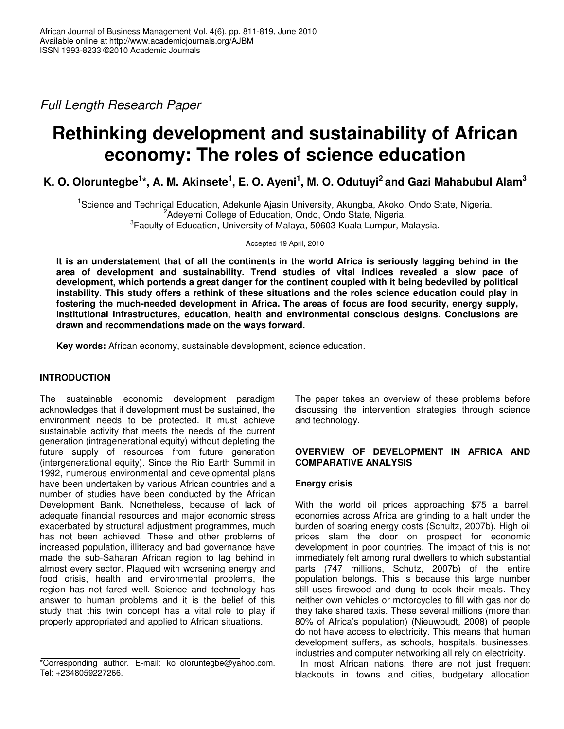*Full Length Research Paper*

# **Rethinking development and sustainability of African economy: The roles of science education**

K. O. Oloruntegbe $^{1\star}$ , A. M. Akinsete $^{1}$ , E. O. Ayeni $^{1}$ , M. O. Odutuyi $^{2}$  and Gazi Mahabubul Alam $^{3}$ 

<sup>1</sup>Science and Technical Education, Adekunle Ajasin University, Akungba, Akoko, Ondo State, Nigeria. <sup>2</sup>Adeyemi College of Education, Ondo, Ondo State, Nigeria. <sup>3</sup> Faculty of Education, University of Malaya, 50603 Kuala Lumpur, Malaysia.

Accepted 19 April, 2010

It is an understatement that of all the continents in the world Africa is seriously lagging behind in the **area of development and sustainability. Trend studies of vital indices revealed a slow pace of development, which portends a great danger for the continent coupled with it being bedeviled by political** instability. This study offers a rethink of these situations and the roles science education could play in **fostering the much-needed development in Africa. The areas of focus are food security, energy supply, institutional infrastructures, education, health and environmental conscious designs. Conclusions are drawn and recommendations made on the ways forward.**

**Key words:** African economy, sustainable development, science education.

## **INTRODUCTION**

The sustainable economic development paradigm acknowledges that if development must be sustained, the environment needs to be protected. It must achieve sustainable activity that meets the needs of the current generation (intragenerational equity) without depleting the future supply of resources from future generation (intergenerational equity). Since the Rio Earth Summit in 1992, numerous environmental and developmental plans have been undertaken by various African countries and a number of studies have been conducted by the African Development Bank. Nonetheless, because of lack of adequate financial resources and major economic stress exacerbated by structural adjustment programmes, much has not been achieved. These and other problems of increased population, illiteracy and bad governance have made the sub-Saharan African region to lag behind in almost every sector. Plagued with worsening energy and food crisis, health and environmental problems, the region has not fared well. Science and technology has answer to human problems and it is the belief of this study that this twin concept has a vital role to play if properly appropriated and applied to African situations.

The paper takes an overview of these problems before discussing the intervention strategies through science and technology.

#### **OVERVIEW OF DEVELOPMENT IN AFRICA AND COMPARATIVE ANALYSIS**

## **Energy crisis**

With the world oil prices approaching \$75 a barrel, economies across Africa are grinding to a halt under the burden of soaring energy costs (Schultz, 2007b). High oil prices slam the door on prospect for economic development in poor countries. The impact of this is not immediately felt among rural dwellers to which substantial parts (747 millions, Schutz, 2007b) of the entire population belongs. This is because this large number still uses firewood and dung to cook their meals. They neither own vehicles or motorcycles to fill with gas nor do they take shared taxis. These several millions (more than 80% of Africa's population) (Nieuwoudt, 2008) of people do not have access to electricity. This means that human development suffers, as schools, hospitals, businesses, industries and computer networking all rely on electricity.

In most African nations, there are not just frequent blackouts in towns and cities, budgetary allocation

<sup>\*</sup>Corresponding author. E-mail: ko\_oloruntegbe@yahoo.com. Tel: +2348059227266.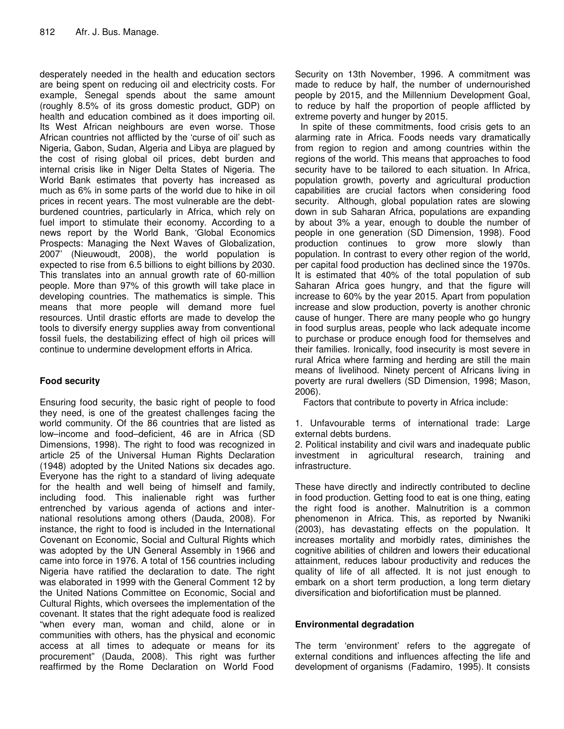desperately needed in the health and education sectors are being spent on reducing oil and electricity costs. For example, Senegal spends about the same amount (roughly 8.5% of its gross domestic product, GDP) on health and education combined as it does importing oil. Its West African neighbours are even worse. Those African countries not afflicted by the 'curse of oil' such as Nigeria, Gabon, Sudan, Algeria and Libya are plagued by the cost of rising global oil prices, debt burden and internal crisis like in Niger Delta States of Nigeria. The World Bank estimates that poverty has increased as much as 6% in some parts of the world due to hike in oil prices in recent years. The most vulnerable are the debtburdened countries, particularly in Africa, which rely on fuel import to stimulate their economy. According to a news report by the World Bank, 'Global Economics Prospects: Managing the Next Waves of Globalization, 2007' (Nieuwoudt, 2008), the world population is expected to rise from 6.5 billions to eight billions by 2030. This translates into an annual growth rate of 60-million people. More than 97% of this growth will take place in developing countries. The mathematics is simple. This means that more people will demand more fuel resources. Until drastic efforts are made to develop the tools to diversify energy supplies away from conventional fossil fuels, the destabilizing effect of high oil prices will continue to undermine development efforts in Africa.

# **Food security**

Ensuring food security, the basic right of people to food they need, is one of the greatest challenges facing the world community. Of the 86 countries that are listed as low–income and food–deficient, 46 are in Africa (SD Dimensions, 1998). The right to food was recognized in article 25 of the Universal Human Rights Declaration (1948) adopted by the United Nations six decades ago. Everyone has the right to a standard of living adequate for the health and well being of himself and family, including food. This inalienable right was further entrenched by various agenda of actions and international resolutions among others (Dauda, 2008). For instance, the right to food is included in the International Covenant on Economic, Social and Cultural Rights which was adopted by the UN General Assembly in 1966 and came into force in 1976. A total of 156 countries including Nigeria have ratified the declaration to date. The right was elaborated in 1999 with the General Comment 12 by the United Nations Committee on Economic, Social and Cultural Rights, which oversees the implementation of the covenant. It states that the right adequate food is realized "when every man, woman and child, alone or in communities with others, has the physical and economic access at all times to adequate or means for its procurement" (Dauda, 2008). This right was further reaffirmed by the Rome Declaration on World Food

Security on 13th November, 1996. A commitment was made to reduce by half, the number of undernourished people by 2015, and the Millennium Development Goal, to reduce by half the proportion of people afflicted by extreme poverty and hunger by 2015.

In spite of these commitments, food crisis gets to an alarming rate in Africa. Foods needs vary dramatically from region to region and among countries within the regions of the world. This means that approaches to food security have to be tailored to each situation. In Africa, population growth, poverty and agricultural production capabilities are crucial factors when considering food security. Although, global population rates are slowing down in sub Saharan Africa, populations are expanding by about 3% a year, enough to double the number of people in one generation (SD Dimension, 1998). Food production continues to grow more slowly than population. In contrast to every other region of the world, per capital food production has declined since the 1970s. It is estimated that 40% of the total population of sub Saharan Africa goes hungry, and that the figure will increase to 60% by the year 2015. Apart from population increase and slow production, poverty is another chronic cause of hunger. There are many people who go hungry in food surplus areas, people who lack adequate income to purchase or produce enough food for themselves and their families. Ironically, food insecurity is most severe in rural Africa where farming and herding are still the main means of livelihood. Ninety percent of Africans living in poverty are rural dwellers (SD Dimension, 1998; Mason, 2006).

Factors that contribute to poverty in Africa include:

1. Unfavourable terms of international trade: Large external debts burdens.

2. Political instability and civil wars and inadequate public investment in agricultural research, training and infrastructure.

These have directly and indirectly contributed to decline in food production. Getting food to eat is one thing, eating the right food is another. Malnutrition is a common phenomenon in Africa. This, as reported by Nwaniki (2003), has devastating effects on the population. It increases mortality and morbidly rates, diminishes the cognitive abilities of children and lowers their educational attainment, reduces labour productivity and reduces the quality of life of all affected. It is not just enough to embark on a short term production, a long term dietary diversification and biofortification must be planned.

## **Environmental degradation**

The term 'environment' refers to the aggregate of external conditions and influences affecting the life and development of organisms (Fadamiro, 1995). It consists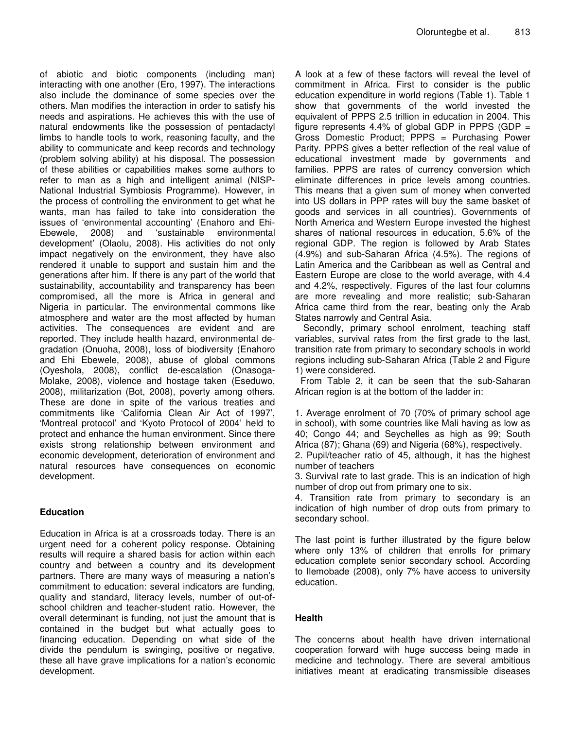of abiotic and biotic components (including man) interacting with one another (Ero, 1997). The interactions also include the dominance of some species over the others. Man modifies the interaction in order to satisfy his needs and aspirations. He achieves this with the use of natural endowments like the possession of pentadactyl limbs to handle tools to work, reasoning faculty, and the ability to communicate and keep records and technology (problem solving ability) at his disposal. The possession of these abilities or capabilities makes some authors to refer to man as a high and intelligent animal (NISP-National Industrial Symbiosis Programme). However, in the process of controlling the environment to get what he wants, man has failed to take into consideration the issues of 'environmental accounting' (Enahoro and Ehi-Ebewele, 2008) and 'sustainable environmental development' (Olaolu, 2008). His activities do not only impact negatively on the environment, they have also rendered it unable to support and sustain him and the generations after him. If there is any part of the world that sustainability, accountability and transparency has been compromised, all the more is Africa in general and Nigeria in particular. The environmental commons like atmosphere and water are the most affected by human activities. The consequences are evident and are reported. They include health hazard, environmental degradation (Onuoha, 2008), loss of biodiversity (Enahoro and Ehi Ebewele, 2008), abuse of global commons (Oyeshola, 2008), conflict de-escalation (Onasoga-Molake, 2008), violence and hostage taken (Eseduwo, 2008), militarization (Bot, 2008), poverty among others. These are done in spite of the various treaties and commitments like 'California Clean Air Act of 1997', 'Montreal protocol' and 'Kyoto Protocol of 2004' held to protect and enhance the human environment. Since there exists strong relationship between environment and economic development, deterioration of environment and natural resources have consequences on economic development.

## **Education**

Education in Africa is at a crossroads today. There is an urgent need for a coherent policy response. Obtaining results will require a shared basis for action within each country and between a country and its development partners. There are many ways of measuring a nation's commitment to education: several indicators are funding, quality and standard, literacy levels, number of out-ofschool children and teacher-student ratio. However, the overall determinant is funding, not just the amount that is contained in the budget but what actually goes to financing education. Depending on what side of the divide the pendulum is swinging, positive or negative, these all have grave implications for a nation's economic development.

A look at a few of these factors will reveal the level of commitment in Africa. First to consider is the public education expenditure in world regions (Table 1). Table 1 show that governments of the world invested the equivalent of PPPS 2.5 trillion in education in 2004. This figure represents 4.4% of global GDP in PPPS (GDP  $=$ Gross Domestic Product; PPPS = Purchasing Power Parity. PPPS gives a better reflection of the real value of educational investment made by governments and families. PPPS are rates of currency conversion which eliminate differences in price levels among countries. This means that a given sum of money when converted into US dollars in PPP rates will buy the same basket of goods and services in all countries). Governments of North America and Western Europe invested the highest shares of national resources in education, 5.6% of the regional GDP. The region is followed by Arab States (4.9%) and sub-Saharan Africa (4.5%). The regions of Latin America and the Caribbean as well as Central and Eastern Europe are close to the world average, with 4.4 and 4.2%, respectively. Figures of the last four columns are more revealing and more realistic; sub-Saharan Africa came third from the rear, beating only the Arab States narrowly and Central Asia.

Secondly, primary school enrolment, teaching staff variables, survival rates from the first grade to the last, transition rate from primary to secondary schools in world regions including sub-Saharan Africa (Table 2 and Figure 1) were considered.

From Table 2, it can be seen that the sub-Saharan African region is at the bottom of the ladder in:

1. Average enrolment of 70 (70% of primary school age in school), with some countries like Mali having as low as 40; Congo 44; and Seychelles as high as 99; South Africa (87); Ghana (69) and Nigeria (68%), respectively.

2. Pupil/teacher ratio of 45, although, it has the highest number of teachers

3. Survival rate to last grade. This is an indication of high number of drop out from primary one to six.

4. Transition rate from primary to secondary is an indication of high number of drop outs from primary to secondary school.

The last point is further illustrated by the figure below where only 13% of children that enrolls for primary education complete senior secondary school. According to Ilemobade (2008), only 7% have access to university education.

# **Health**

The concerns about health have driven international cooperation forward with huge success being made in medicine and technology. There are several ambitious initiatives meant at eradicating transmissible diseases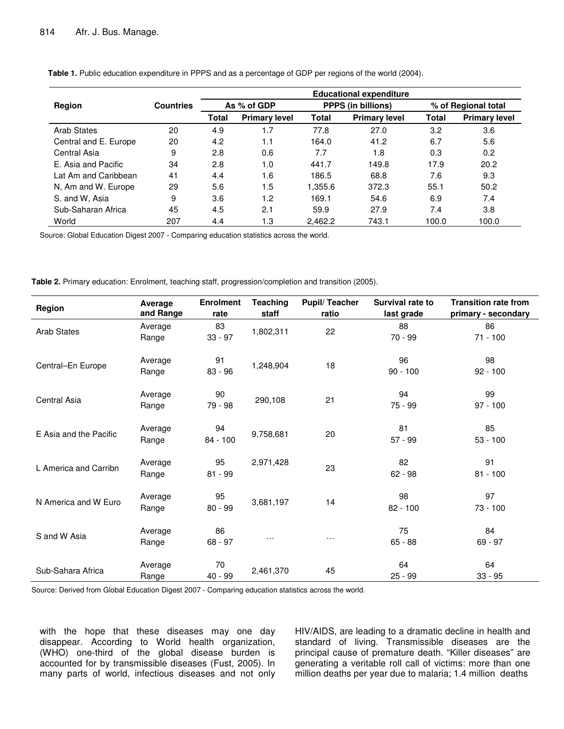|                       |                  | <b>Educational expenditure</b> |                      |                           |                      |                     |                      |
|-----------------------|------------------|--------------------------------|----------------------|---------------------------|----------------------|---------------------|----------------------|
| Region                | <b>Countries</b> | As % of GDP                    |                      | <b>PPPS (in billions)</b> |                      | % of Regional total |                      |
|                       |                  | Total                          | <b>Primary level</b> | Total                     | <b>Primary level</b> | <b>Total</b>        | <b>Primary level</b> |
| Arab States           | 20               | 4.9                            | 1.7                  | 77.8                      | 27.0                 | 3.2                 | 3.6                  |
| Central and E. Europe | 20               | 4.2                            | 1.1                  | 164.0                     | 41.2                 | 6.7                 | 5.6                  |
| Central Asia          | 9                | 2.8                            | 0.6                  | 7.7                       | 1.8                  | 0.3                 | 0.2                  |
| F. Asia and Pacific   | 34               | 2.8                            | 1.0                  | 441.7                     | 149.8                | 17.9                | 20.2                 |
| Lat Am and Caribbean  | 41               | 4.4                            | 1.6                  | 186.5                     | 68.8                 | 7.6                 | 9.3                  |
| N, Am and W. Europe   | 29               | 5.6                            | 1.5                  | 1.355.6                   | 372.3                | 55.1                | 50.2                 |
| S. and W. Asia        | 9                | 3.6                            | 1.2                  | 169.1                     | 54.6                 | 6.9                 | 7.4                  |
| Sub-Saharan Africa    | 45               | 4.5                            | 2.1                  | 59.9                      | 27.9                 | 7.4                 | 3.8                  |
| World                 | 207              | 4.4                            | 1.3                  | 2.462.2                   | 743.1                | 100.0               | 100.0                |

**Table 1.** Public education expenditure in PPPS and as a percentage of GDP per regions of the world (2004).

Source: Global Education Digest 2007 - Comparing education statistics across the world.

**Table 2.** Primary education: Enrolment, teaching staff, progression/completion and transition (2005).

| Region                 | Average<br>and Range | <b>Enrolment</b><br>rate | <b>Teaching</b><br>staff | <b>Pupil/Teacher</b><br>ratio | Survival rate to<br>last grade | <b>Transition rate from</b><br>primary - secondary |
|------------------------|----------------------|--------------------------|--------------------------|-------------------------------|--------------------------------|----------------------------------------------------|
| <b>Arab States</b>     | Average<br>Range     | 83<br>$33 - 97$          | 1,802,311                | 22                            | 88<br>70 - 99                  | 86<br>$71 - 100$                                   |
| Central-En Europe      | Average<br>Range     | 91<br>$83 - 96$          | 1,248,904                | 18                            | 96<br>$90 - 100$               | 98<br>$92 - 100$                                   |
| Central Asia           | Average<br>Range     | 90<br>79 - 98            | 290,108                  | 21                            | 94<br>75 - 99                  | 99<br>$97 - 100$                                   |
| E Asia and the Pacific | Average<br>Range     | 94<br>$84 - 100$         | 9,758,681                | 20                            | 81<br>$57 - 99$                | 85<br>$53 - 100$                                   |
| L America and Carribn  | Average<br>Range     | 95<br>$81 - 99$          | 2,971,428                | 23                            | 82<br>$62 - 98$                | 91<br>$81 - 100$                                   |
| N America and W Euro   | Average<br>Range     | 95<br>$80 - 99$          | 3,681,197                | 14                            | 98<br>$82 - 100$               | 97<br>$73 - 100$                                   |
| S and W Asia           | Average<br>Range     | 86<br>$68 - 97$          | $\cdots$                 | $\cdots$                      | 75<br>$65 - 88$                | 84<br>$69 - 97$                                    |
| Sub-Sahara Africa      | Average<br>Range     | 70<br>40 - 99            | 2,461,370                | 45                            | 64<br>$25 - 99$                | 64<br>$33 - 95$                                    |

Source: Derived from Global Education Digest 2007 - Comparing education statistics across the world.

with the hope that these diseases may one day disappear. According to World health organization, (WHO) one-third of the global disease burden is accounted for by transmissible diseases (Fust, 2005). In many parts of world, infectious diseases and not only HIV/AIDS, are leading to a dramatic decline in health and standard of living. Transmissible diseases are the principal cause of premature death. "Killer diseases" are generating a veritable roll call of victims: more than one million deaths per year due to malaria; 1.4 million deaths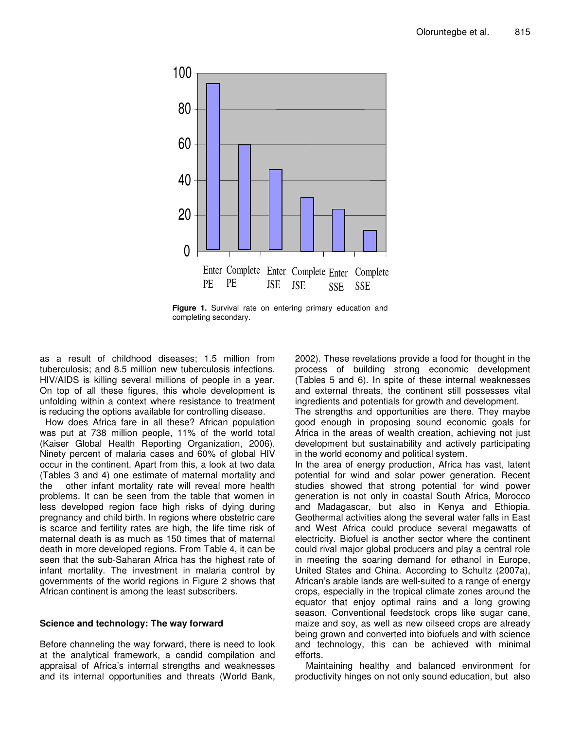

**Figure 1.** Survival rate on entering primary education and completing secondary.

as a result of childhood diseases; 1.5 million from tuberculosis; and 8.5 million new tuberculosis infections. HIV/AIDS is killing several millions of people in a year. On top of all these figures, this whole development is unfolding within a context where resistance to treatment is reducing the options available for controlling disease.

How does Africa fare in all these? African population was put at 738 million people, 11% of the world total (Kaiser Global Health Reporting Organization, 2006). Ninety percent of malaria cases and 60% of global HIV occur in the continent. Apart from this, a look at two data (Tables 3 and 4) one estimate of maternal mortality and the other infant mortality rate will reveal more health problems. It can be seen from the table that women in less developed region face high risks of dying during pregnancy and child birth. In regions where obstetric care is scarce and fertility rates are high, the life time risk of maternal death is as much as 150 times that of maternal death in more developed regions. From Table 4, it can be seen that the sub-Saharan Africa has the highest rate of infant mortality. The investment in malaria control by governments of the world regions in Figure 2 shows that African continent is among the least subscribers.

#### **Science and technology: The way forward**

Before channeling the way forward, there is need to look at the analytical framework, a candid compilation and appraisal of Africa's internal strengths and weaknesses and its internal opportunities and threats (World Bank, 2002). These revelations provide a food for thought in the process of building strong economic development (Tables 5 and 6). In spite of these internal weaknesses and external threats, the continent still possesses vital ingredients and potentials for growth and development.

The strengths and opportunities are there. They maybe good enough in proposing sound economic goals for Africa in the areas of wealth creation, achieving not just development but sustainability and actively participating in the world economy and political system.

In the area of energy production, Africa has vast, latent potential for wind and solar power generation. Recent studies showed that strong potential for wind power generation is not only in coastal South Africa, Morocco and Madagascar, but also in Kenya and Ethiopia. Geothermal activities along the several water falls in East and West Africa could produce several megawatts of electricity. Biofuel is another sector where the continent could rival major global producers and play a central role in meeting the soaring demand for ethanol in Europe, United States and China. According to Schultz (2007a), African's arable lands are well-suited to a range of energy crops, especially in the tropical climate zones around the equator that enjoy optimal rains and a long growing season. Conventional feedstock crops like sugar cane, maize and soy, as well as new oilseed crops are already being grown and converted into biofuels and with science and technology, this can be achieved with minimal efforts.

Maintaining healthy and balanced environment for productivity hinges on not only sound education, but also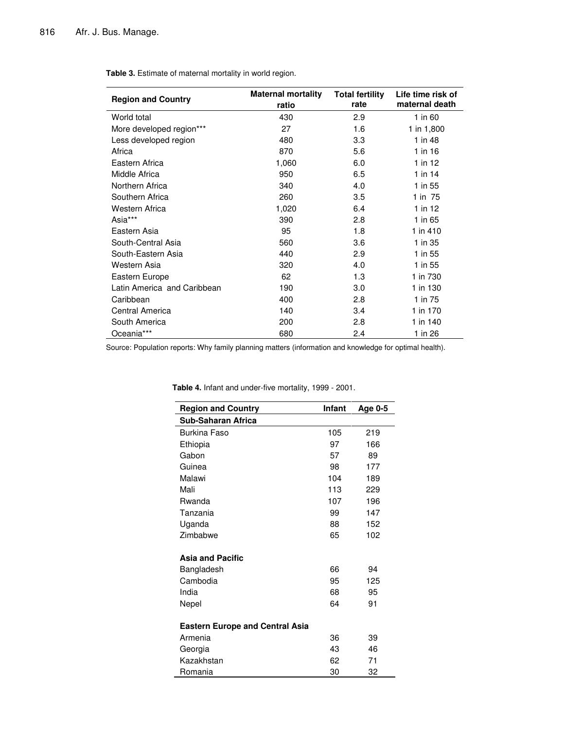| <b>Region and Country</b>   | <b>Maternal mortality</b><br>ratio | <b>Total fertility</b><br>rate | Life time risk of<br>maternal death |
|-----------------------------|------------------------------------|--------------------------------|-------------------------------------|
| World total                 | 430                                | 2.9                            | 1 in 60                             |
| More developed region***    | 27                                 | 1.6                            | 1 in 1,800                          |
| Less developed region       | 480                                | 3.3                            | 1 in 48                             |
| Africa                      | 870                                | 5.6                            | 1 in 16                             |
| Eastern Africa              | 1,060                              | 6.0                            | 1 in 12                             |
| Middle Africa               | 950                                | 6.5                            | $1$ in 14                           |
| Northern Africa             | 340                                | 4.0                            | 1 in 55                             |
| Southern Africa             | 260                                | 3.5                            | 1 in 75                             |
| Western Africa              | 1,020                              | 6.4                            | 1 in $12$                           |
| Asia***                     | 390                                | 2.8                            | 1 in 65                             |
| Eastern Asia                | 95                                 | 1.8                            | 1 in 410                            |
| South-Central Asia          | 560                                | 3.6                            | 1 in 35                             |
| South-Eastern Asia          | 440                                | 2.9                            | 1 in 55                             |
| Western Asia                | 320                                | 4.0                            | 1 in 55                             |
| Eastern Europe              | 62                                 | 1.3                            | 1 in 730                            |
| Latin America and Caribbean | 190                                | 3.0                            | 1 in 130                            |
| Caribbean                   | 400                                | 2.8                            | 1 in 75                             |
| Central America             | 140                                | 3.4                            | 1 in 170                            |
| South America               | 200                                | 2.8                            | 1 in 140                            |
| Oceania***                  | 680                                | 2.4                            | 1 in 26                             |

**Table 3.** Estimate of maternal mortality in world region.

Source: Population reports: Why family planning matters (information and knowledge for optimal health).

| <b>Region and Country</b>              | Infant | Age 0-5 |
|----------------------------------------|--------|---------|
| Sub-Saharan Africa                     |        |         |
| <b>Burkina Faso</b>                    | 105    | 219     |
| Ethiopia                               | 97     | 166     |
| Gabon                                  | 57     | 89      |
| Guinea                                 | 98     | 177     |
| Malawi                                 | 104    | 189     |
| Mali                                   | 113    | 229     |
| Rwanda                                 | 107    | 196     |
| Tanzania                               | 99     | 147     |
| Uganda                                 | 88     | 152     |
| Zimbabwe                               | 65     | 102     |
| <b>Asia and Pacific</b>                |        |         |
| Bangladesh                             | 66     | 94      |
| Cambodia                               | 95     | 125     |
| India                                  | 68     | 95      |
| Nepel                                  | 64     | 91      |
| <b>Eastern Europe and Central Asia</b> |        |         |
| Armenia                                | 36     | 39      |
| Georgia                                | 43     | 46      |
| Kazakhstan                             | 62     | 71      |
| Romania                                | 30     | 32      |

**Table 4.** Infant and under-five mortality, 1999 - 2001.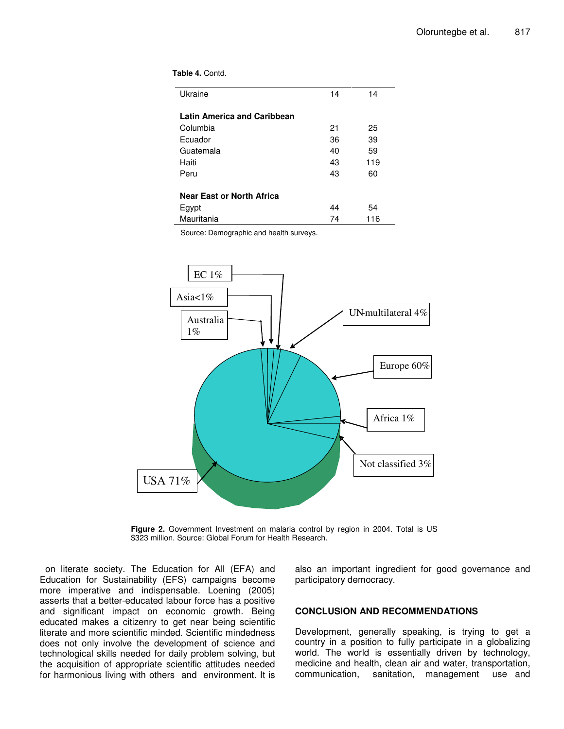|  | Table 4. Contd. |
|--|-----------------|
|--|-----------------|

| Ukraine                            | 14 | 14  |  |
|------------------------------------|----|-----|--|
| <b>Latin America and Caribbean</b> |    |     |  |
| Columbia                           | 21 | 25  |  |
| Ecuador                            | 36 | 39  |  |
| Guatemala                          | 40 | 59  |  |
| Haiti                              | 43 | 119 |  |
| Peru                               | 43 | 60  |  |
|                                    |    |     |  |
| <b>Near East or North Africa</b>   |    |     |  |
| Egypt                              | 44 | 54  |  |
| Mauritania                         | 74 | 116 |  |

Source: Demographic and health surveys.



**Figure 2.** Government Investment on malaria control by region in 2004. Total is US \$323 million. Source: Global Forum for Health Research.

on literate society. The Education for All (EFA) and Education for Sustainability (EFS) campaigns become more imperative and indispensable. Loening (2005) asserts that a better-educated labour force has a positive and significant impact on economic growth. Being educated makes a citizenry to get near being scientific literate and more scientific minded. Scientific mindedness does not only involve the development of science and technological skills needed for daily problem solving, but the acquisition of appropriate scientific attitudes needed for harmonious living with others and environment. It is

also an important ingredient for good governance and participatory democracy.

#### **CONCLUSION AND RECOMMENDATIONS**

Development, generally speaking, is trying to get a country in a position to fully participate in a globalizing world. The world is essentially driven by technology, medicine and health, clean air and water, transportation, communication, sanitation, management use and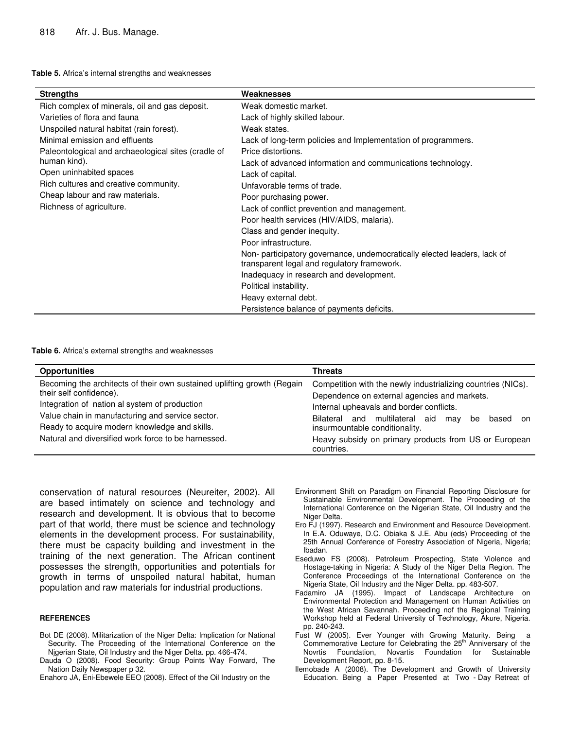| <b>Strengths</b>                                    | Weaknesses                                                                                                              |
|-----------------------------------------------------|-------------------------------------------------------------------------------------------------------------------------|
| Rich complex of minerals, oil and gas deposit.      | Weak domestic market.                                                                                                   |
| Varieties of flora and fauna                        | Lack of highly skilled labour.                                                                                          |
| Unspoiled natural habitat (rain forest).            | Weak states.                                                                                                            |
| Minimal emission and effluents                      | Lack of long-term policies and Implementation of programmers.                                                           |
| Paleontological and archaeological sites (cradle of | Price distortions.                                                                                                      |
| human kind).                                        | Lack of advanced information and communications technology.                                                             |
| Open uninhabited spaces                             | Lack of capital.                                                                                                        |
| Rich cultures and creative community.               | Unfavorable terms of trade.                                                                                             |
| Cheap labour and raw materials.                     | Poor purchasing power.                                                                                                  |
| Richness of agriculture.                            | Lack of conflict prevention and management.                                                                             |
|                                                     | Poor health services (HIV/AIDS, malaria).                                                                               |
|                                                     | Class and gender inequity.                                                                                              |
|                                                     | Poor infrastructure.                                                                                                    |
|                                                     | Non- participatory governance, undemocratically elected leaders, lack of<br>transparent legal and regulatory framework. |
|                                                     | Inadequacy in research and development.                                                                                 |
|                                                     | Political instability.                                                                                                  |
|                                                     | Heavy external debt.                                                                                                    |
|                                                     | Persistence balance of payments deficits.                                                                               |

#### **Table 6.** Africa's external strengths and weaknesses

| <b>Opportunities</b>                                                                                                                                                                                                                                     | <b>Threats</b>                                                                                                                                                                                                                                        |
|----------------------------------------------------------------------------------------------------------------------------------------------------------------------------------------------------------------------------------------------------------|-------------------------------------------------------------------------------------------------------------------------------------------------------------------------------------------------------------------------------------------------------|
| Becoming the architects of their own sustained uplifting growth (Regain<br>their self confidence).<br>Integration of nation al system of production<br>Value chain in manufacturing and service sector.<br>Ready to acquire modern knowledge and skills. | Competition with the newly industrializing countries (NICs).<br>Dependence on external agencies and markets.<br>Internal upheavals and border conflicts.<br>Bilateral and multilateral aid may<br>be<br>based<br>on<br>insurmountable conditionality. |
| Natural and diversified work force to be harnessed.                                                                                                                                                                                                      | Heavy subsidy on primary products from US or European<br>countries.                                                                                                                                                                                   |

conservation of natural resources (Neureiter, 2002). All are based intimately on science and technology and research and development. It is obvious that to become part of that world, there must be science and technology elements in the development process. For sustainability, there must be capacity building and investment in the training of the next generation. The African continent possesses the strength, opportunities and potentials for growth in terms of unspoiled natural habitat, human population and raw materials for industrial productions.

#### **REFERENCES**

- Bot DE (2008). Militarization of the Niger Delta: Implication for National Security. The Proceeding of the International Conference on the Njgerian State, Oil Industry and the Niger Delta. pp. 466-474.
- Dauda O (2008). Food Security: Group Points Way Forward, The Nation Daily Newspaper p 32.

Enahoro JA, Eni-Ebewele EEO (2008). Effect of the Oil Industry on the

- Environment Shift on Paradigm on Financial Reporting Disclosure for Sustainable Environmental Development. The Proceeding of the International Conference on the Nigerian State, Oil Industry and the Niger Delta.
- Ero FJ (1997). Research and Environment and Resource Development. In E.A. Oduwaye, D.C. Obiaka & J.E. Abu (eds) Proceeding of the 25th Annual Conference of Forestry Association of Nigeria, Nigeria; Ibadan.
- Eseduwo FS (2008). Petroleum Prospecting, State Violence and Hostage-taking in Nigeria: A Study of the Niger Delta Region. The Conference Proceedings of the International Conference on the Nigeria State, Oil Industry and the Niger Delta. pp. 483-507.
- Fadamiro JA (1995). Impact of Landscape Architecture on Environmental Protection and Management on Human Activities on the West African Savannah. Proceeding nof the Regional Training Workshop held at Federal University of Technology, Akure, Nigeria. pp. 240-243.
- Fust W (2005). Ever Younger with Growing Maturity. Being a Commemorative Lecture for Celebrating the 25<sup>th</sup> Anniversary of the Novrtis Foundation, Novartis Foundation for Sustainable Development Report, pp. 8-15.
- Ilemobade A (2008). The Development and Growth of University Education. Being a Paper Presented at Two - Day Retreat of